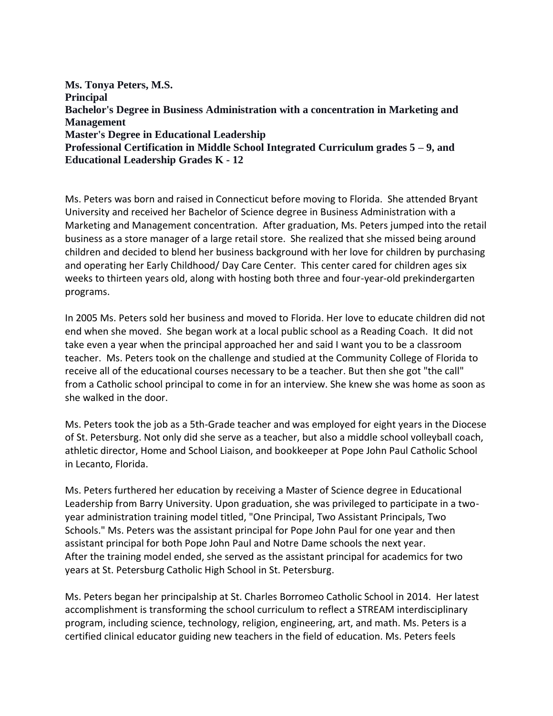**Ms. Tonya Peters, M.S. Principal Bachelor's Degree in Business Administration with a concentration in Marketing and Management Master's Degree in Educational Leadership Professional Certification in Middle School Integrated Curriculum grades 5 – 9, and Educational Leadership Grades K - 12**

Ms. Peters was born and raised in Connecticut before moving to Florida. She attended Bryant University and received her Bachelor of Science degree in Business Administration with a Marketing and Management concentration. After graduation, Ms. Peters jumped into the retail business as a store manager of a large retail store. She realized that she missed being around children and decided to blend her business background with her love for children by purchasing and operating her Early Childhood/ Day Care Center. This center cared for children ages six weeks to thirteen years old, along with hosting both three and four-year-old prekindergarten programs.

In 2005 Ms. Peters sold her business and moved to Florida. Her love to educate children did not end when she moved. She began work at a local public school as a Reading Coach. It did not take even a year when the principal approached her and said I want you to be a classroom teacher. Ms. Peters took on the challenge and studied at the Community College of Florida to receive all of the educational courses necessary to be a teacher. But then she got "the call" from a Catholic school principal to come in for an interview. She knew she was home as soon as she walked in the door.

Ms. Peters took the job as a 5th-Grade teacher and was employed for eight years in the Diocese of St. Petersburg. Not only did she serve as a teacher, but also a middle school volleyball coach, athletic director, Home and School Liaison, and bookkeeper at Pope John Paul Catholic School in Lecanto, Florida.

Ms. Peters furthered her education by receiving a Master of Science degree in Educational Leadership from Barry University. Upon graduation, she was privileged to participate in a twoyear administration training model titled, "One Principal, Two Assistant Principals, Two Schools." Ms. Peters was the assistant principal for Pope John Paul for one year and then assistant principal for both Pope John Paul and Notre Dame schools the next year. After the training model ended, she served as the assistant principal for academics for two years at St. Petersburg Catholic High School in St. Petersburg.

Ms. Peters began her principalship at St. Charles Borromeo Catholic School in 2014. Her latest accomplishment is transforming the school curriculum to reflect a STREAM interdisciplinary program, including science, technology, religion, engineering, art, and math. Ms. Peters is a certified clinical educator guiding new teachers in the field of education. Ms. Peters feels